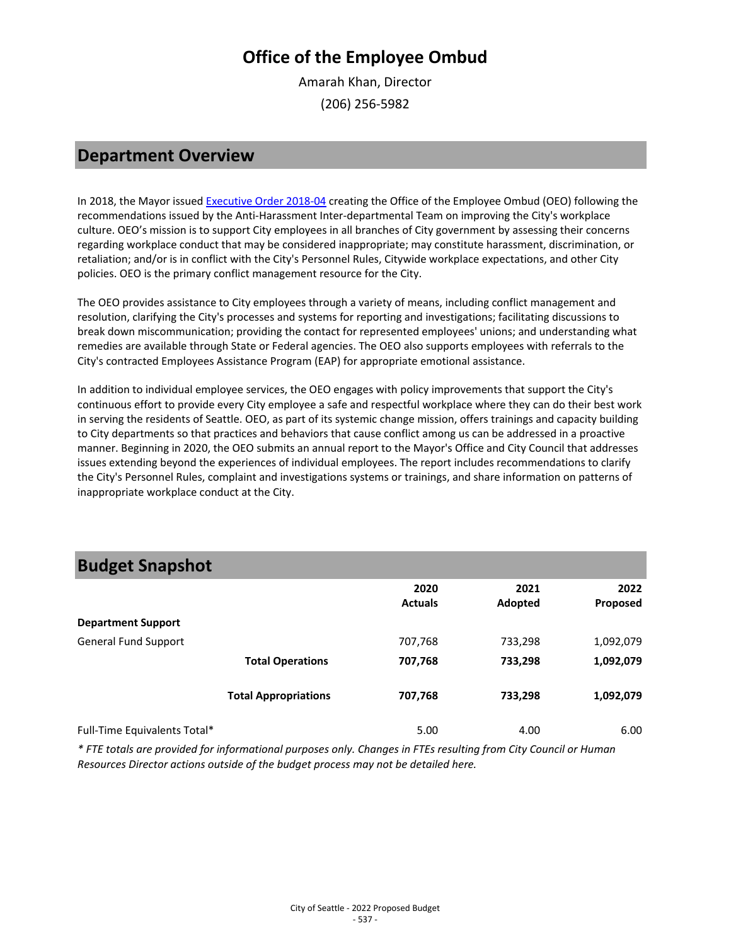Amarah Khan, Director (206) 256-5982

#### **Department Overview**

In 2018, the Mayor issue[d Executive Order 2018-04](http://durkan.seattle.gov/wp-content/uploads/2018/09/09.21.18-Anti-Harassment-and-Anti-Discrimination-EO.pdf) creating the Office of the Employee Ombud (OEO) following the recommendations issued by the Anti-Harassment Inter-departmental Team on improving the City's workplace culture. OEO's mission is to support City employees in all branches of City government by assessing their concerns regarding workplace conduct that may be considered inappropriate; may constitute harassment, discrimination, or retaliation; and/or is in conflict with the City's Personnel Rules, Citywide workplace expectations, and other City policies. OEO is the primary conflict management resource for the City.

The OEO provides assistance to City employees through a variety of means, including conflict management and resolution, clarifying the City's processes and systems for reporting and investigations; facilitating discussions to break down miscommunication; providing the contact for represented employees' unions; and understanding what remedies are available through State or Federal agencies. The OEO also supports employees with referrals to the City's contracted Employees Assistance Program (EAP) for appropriate emotional assistance.

In addition to individual employee services, the OEO engages with policy improvements that support the City's continuous effort to provide every City employee a safe and respectful workplace where they can do their best work in serving the residents of Seattle. OEO, as part of its systemic change mission, offers trainings and capacity building to City departments so that practices and behaviors that cause conflict among us can be addressed in a proactive manner. Beginning in 2020, the OEO submits an annual report to the Mayor's Office and City Council that addresses issues extending beyond the experiences of individual employees. The report includes recommendations to clarify the City's Personnel Rules, complaint and investigations systems or trainings, and share information on patterns of inappropriate workplace conduct at the City.

## **Budget Snapshot**

|                              |                             | 2020<br><b>Actuals</b> | 2021<br>Adopted | 2022<br>Proposed |
|------------------------------|-----------------------------|------------------------|-----------------|------------------|
| <b>Department Support</b>    |                             |                        |                 |                  |
| <b>General Fund Support</b>  |                             | 707,768                | 733,298         | 1,092,079        |
|                              | <b>Total Operations</b>     | 707,768                | 733,298         | 1,092,079        |
|                              | <b>Total Appropriations</b> | 707,768                | 733,298         | 1,092,079        |
| Full-Time Equivalents Total* |                             | 5.00                   | 4.00            | 6.00             |

*\* FTE totals are provided for informational purposes only. Changes in FTEs resulting from City Council or Human Resources Director actions outside of the budget process may not be detailed here.*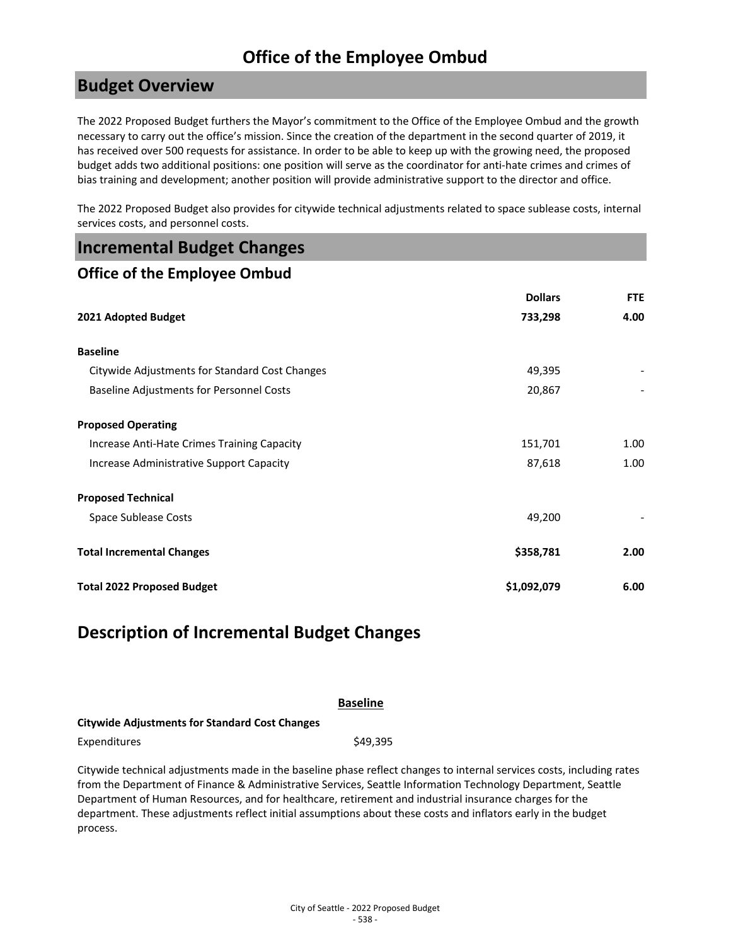#### **Budget Overview**

The 2022 Proposed Budget furthers the Mayor's commitment to the Office of the Employee Ombud and the growth necessary to carry out the office's mission. Since the creation of the department in the second quarter of 2019, it has received over 500 requests for assistance. In order to be able to keep up with the growing need, the proposed budget adds two additional positions: one position will serve as the coordinator for anti-hate crimes and crimes of bias training and development; another position will provide administrative support to the director and office.

The 2022 Proposed Budget also provides for citywide technical adjustments related to space sublease costs, internal services costs, and personnel costs.

| <b>Incremental Budget Changes</b> |  |  |
|-----------------------------------|--|--|
|-----------------------------------|--|--|

#### **Office of the Employee Ombud**

|                                                 | <b>Dollars</b> | <b>FTE</b> |
|-------------------------------------------------|----------------|------------|
| 2021 Adopted Budget                             | 733,298        | 4.00       |
| <b>Baseline</b>                                 |                |            |
| Citywide Adjustments for Standard Cost Changes  | 49,395         |            |
| <b>Baseline Adjustments for Personnel Costs</b> | 20,867         |            |
| <b>Proposed Operating</b>                       |                |            |
| Increase Anti-Hate Crimes Training Capacity     | 151,701        | 1.00       |
| Increase Administrative Support Capacity        | 87,618         | 1.00       |
| <b>Proposed Technical</b>                       |                |            |
| Space Sublease Costs                            | 49,200         |            |
| <b>Total Incremental Changes</b>                | \$358,781      | 2.00       |
| <b>Total 2022 Proposed Budget</b>               | \$1,092,079    | 6.00       |

### **Description of Incremental Budget Changes**

|                                                       | <b>Baseline</b> |
|-------------------------------------------------------|-----------------|
| <b>Citywide Adjustments for Standard Cost Changes</b> |                 |
| Expenditures                                          | \$49.395        |

Citywide technical adjustments made in the baseline phase reflect changes to internal services costs, including rates from the Department of Finance & Administrative Services, Seattle Information Technology Department, Seattle Department of Human Resources, and for healthcare, retirement and industrial insurance charges for the department. These adjustments reflect initial assumptions about these costs and inflators early in the budget process.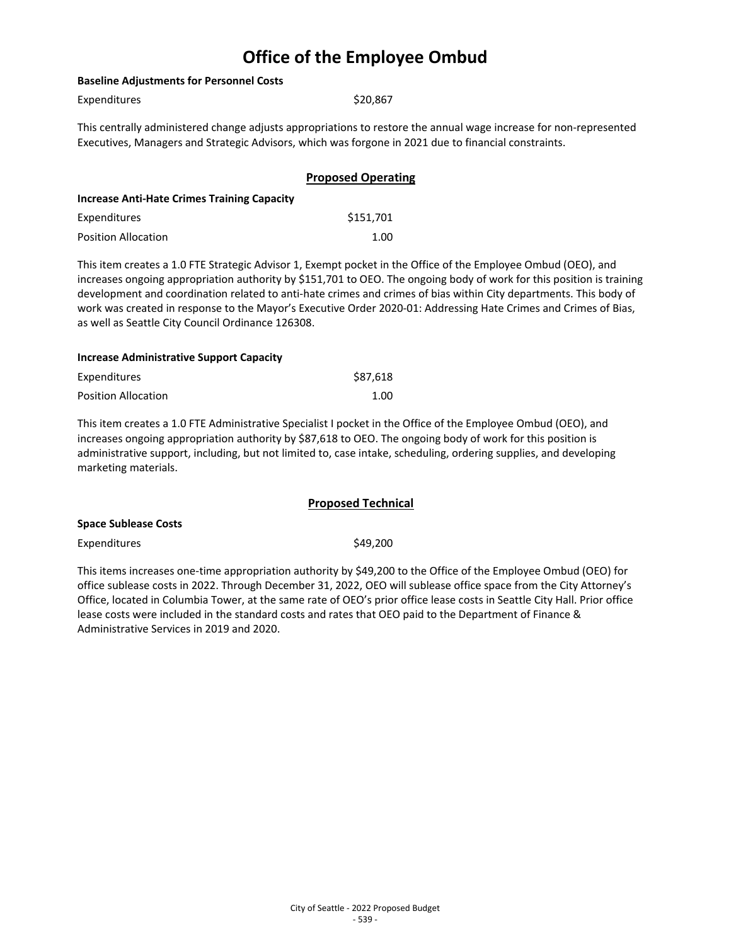| <b>Baseline Adjustments for Personnel Costs</b>    |                                                                                                                                                                                                                                                                                                                                                                                                                                                                                |  |
|----------------------------------------------------|--------------------------------------------------------------------------------------------------------------------------------------------------------------------------------------------------------------------------------------------------------------------------------------------------------------------------------------------------------------------------------------------------------------------------------------------------------------------------------|--|
| Expenditures                                       | \$20,867                                                                                                                                                                                                                                                                                                                                                                                                                                                                       |  |
|                                                    | This centrally administered change adjusts appropriations to restore the annual wage increase for non-represented<br>Executives, Managers and Strategic Advisors, which was forgone in 2021 due to financial constraints.                                                                                                                                                                                                                                                      |  |
|                                                    | <b>Proposed Operating</b>                                                                                                                                                                                                                                                                                                                                                                                                                                                      |  |
| <b>Increase Anti-Hate Crimes Training Capacity</b> |                                                                                                                                                                                                                                                                                                                                                                                                                                                                                |  |
| Expenditures                                       | \$151,701                                                                                                                                                                                                                                                                                                                                                                                                                                                                      |  |
| <b>Position Allocation</b>                         | 1.00                                                                                                                                                                                                                                                                                                                                                                                                                                                                           |  |
| as well as Seattle City Council Ordinance 126308.  | This item creates a 1.0 FTE Strategic Advisor 1, Exempt pocket in the Office of the Employee Ombud (OEO), and<br>increases ongoing appropriation authority by \$151,701 to OEO. The ongoing body of work for this position is training<br>development and coordination related to anti-hate crimes and crimes of bias within City departments. This body of<br>work was created in response to the Mayor's Executive Order 2020-01: Addressing Hate Crimes and Crimes of Bias, |  |
| <b>Increase Administrative Support Capacity</b>    |                                                                                                                                                                                                                                                                                                                                                                                                                                                                                |  |
| Expenditures                                       | \$87,618                                                                                                                                                                                                                                                                                                                                                                                                                                                                       |  |
| <b>Position Allocation</b>                         | 1.00                                                                                                                                                                                                                                                                                                                                                                                                                                                                           |  |

This item creates a 1.0 FTE Administrative Specialist I pocket in the Office of the Employee Ombud (OEO), and increases ongoing appropriation authority by \$87,618 to OEO. The ongoing body of work for this position is administrative support, including, but not limited to, case intake, scheduling, ordering supplies, and developing marketing materials.

|                      | <b>Proposed Technical</b> |
|----------------------|---------------------------|
| Space Sublease Costs |                           |
| Expenditures         | \$49,200                  |

This items increases one-time appropriation authority by \$49,200 to the Office of the Employee Ombud (OEO) for office sublease costs in 2022. Through December 31, 2022, OEO will sublease office space from the City Attorney's Office, located in Columbia Tower, at the same rate of OEO's prior office lease costs in Seattle City Hall. Prior office lease costs were included in the standard costs and rates that OEO paid to the Department of Finance & Administrative Services in 2019 and 2020.